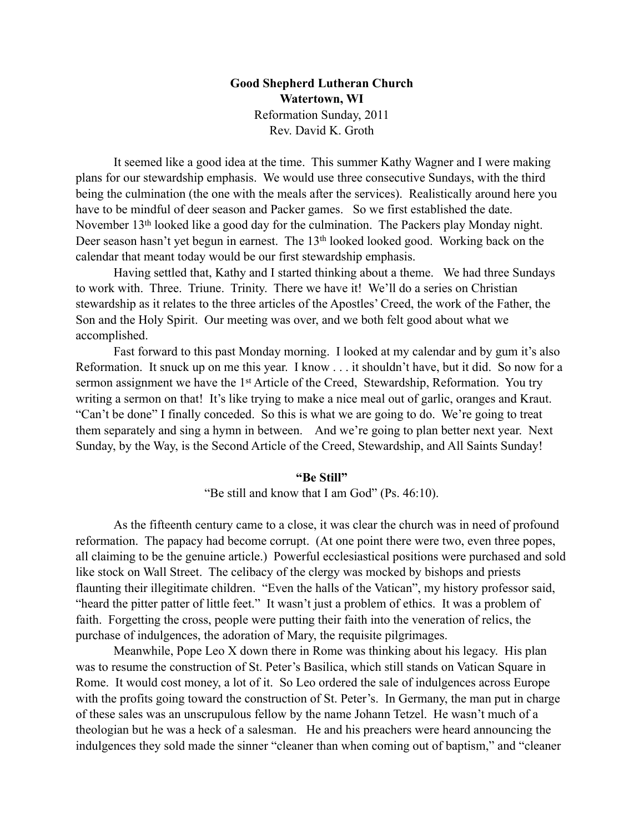## **Good Shepherd Lutheran Church Watertown, WI** Reformation Sunday, 2011 Rev. David K. Groth

 It seemed like a good idea at the time. This summer Kathy Wagner and I were making plans for our stewardship emphasis. We would use three consecutive Sundays, with the third being the culmination (the one with the meals after the services). Realistically around here you have to be mindful of deer season and Packer games. So we first established the date. November 13th looked like a good day for the culmination. The Packers play Monday night. Deer season hasn't yet begun in earnest. The 13<sup>th</sup> looked looked good. Working back on the calendar that meant today would be our first stewardship emphasis.

 Having settled that, Kathy and I started thinking about a theme. We had three Sundays to work with. Three. Triune. Trinity. There we have it! We'll do a series on Christian stewardship as it relates to the three articles of the Apostles' Creed, the work of the Father, the Son and the Holy Spirit. Our meeting was over, and we both felt good about what we accomplished.

 Fast forward to this past Monday morning. I looked at my calendar and by gum it's also Reformation. It snuck up on me this year. I know . . . it shouldn't have, but it did. So now for a sermon assignment we have the 1<sup>st</sup> Article of the Creed, Stewardship, Reformation. You try writing a sermon on that! It's like trying to make a nice meal out of garlic, oranges and Kraut. "Can't be done" I finally conceded. So this is what we are going to do. We're going to treat them separately and sing a hymn in between. And we're going to plan better next year. Next Sunday, by the Way, is the Second Article of the Creed, Stewardship, and All Saints Sunday!

## **"Be Still"**

"Be still and know that I am God" (Ps. 46:10).

As the fifteenth century came to a close, it was clear the church was in need of profound reformation. The papacy had become corrupt. (At one point there were two, even three popes, all claiming to be the genuine article.) Powerful ecclesiastical positions were purchased and sold like stock on Wall Street. The celibacy of the clergy was mocked by bishops and priests flaunting their illegitimate children. "Even the halls of the Vatican", my history professor said, "heard the pitter patter of little feet." It wasn't just a problem of ethics. It was a problem of faith. Forgetting the cross, people were putting their faith into the veneration of relics, the purchase of indulgences, the adoration of Mary, the requisite pilgrimages.

Meanwhile, Pope Leo X down there in Rome was thinking about his legacy. His plan was to resume the construction of St. Peter's Basilica, which still stands on Vatican Square in Rome. It would cost money, a lot of it. So Leo ordered the sale of indulgences across Europe with the profits going toward the construction of St. Peter's. In Germany, the man put in charge of these sales was an unscrupulous fellow by the name Johann Tetzel. He wasn't much of a theologian but he was a heck of a salesman. He and his preachers were heard announcing the indulgences they sold made the sinner "cleaner than when coming out of baptism," and "cleaner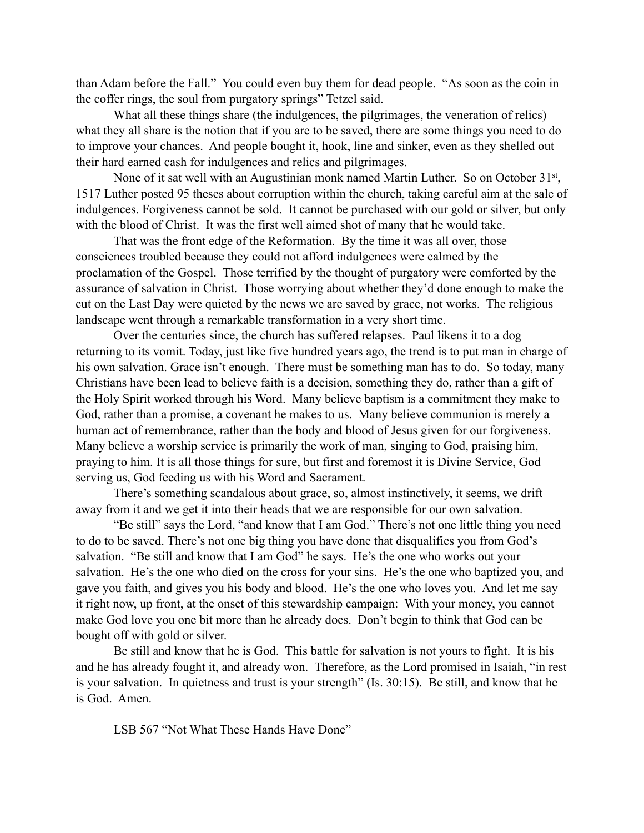than Adam before the Fall." You could even buy them for dead people. "As soon as the coin in the coffer rings, the soul from purgatory springs" Tetzel said.

What all these things share (the indulgences, the pilgrimages, the veneration of relics) what they all share is the notion that if you are to be saved, there are some things you need to do to improve your chances. And people bought it, hook, line and sinker, even as they shelled out their hard earned cash for indulgences and relics and pilgrimages.

None of it sat well with an Augustinian monk named Martin Luther. So on October 31<sup>st</sup>, 1517 Luther posted 95 theses about corruption within the church, taking careful aim at the sale of indulgences. Forgiveness cannot be sold. It cannot be purchased with our gold or silver, but only with the blood of Christ. It was the first well aimed shot of many that he would take.

That was the front edge of the Reformation. By the time it was all over, those consciences troubled because they could not afford indulgences were calmed by the proclamation of the Gospel. Those terrified by the thought of purgatory were comforted by the assurance of salvation in Christ. Those worrying about whether they'd done enough to make the cut on the Last Day were quieted by the news we are saved by grace, not works. The religious landscape went through a remarkable transformation in a very short time.

Over the centuries since, the church has suffered relapses. Paul likens it to a dog returning to its vomit. Today, just like five hundred years ago, the trend is to put man in charge of his own salvation. Grace isn't enough. There must be something man has to do. So today, many Christians have been lead to believe faith is a decision, something they do, rather than a gift of the Holy Spirit worked through his Word. Many believe baptism is a commitment they make to God, rather than a promise, a covenant he makes to us. Many believe communion is merely a human act of remembrance, rather than the body and blood of Jesus given for our forgiveness. Many believe a worship service is primarily the work of man, singing to God, praising him, praying to him. It is all those things for sure, but first and foremost it is Divine Service, God serving us, God feeding us with his Word and Sacrament.

There's something scandalous about grace, so, almost instinctively, it seems, we drift away from it and we get it into their heads that we are responsible for our own salvation.

"Be still" says the Lord, "and know that I am God." There's not one little thing you need to do to be saved. There's not one big thing you have done that disqualifies you from God's salvation. "Be still and know that I am God" he says. He's the one who works out your salvation. He's the one who died on the cross for your sins. He's the one who baptized you, and gave you faith, and gives you his body and blood. He's the one who loves you. And let me say it right now, up front, at the onset of this stewardship campaign: With your money, you cannot make God love you one bit more than he already does. Don't begin to think that God can be bought off with gold or silver.

Be still and know that he is God. This battle for salvation is not yours to fight. It is his and he has already fought it, and already won. Therefore, as the Lord promised in Isaiah, "in rest is your salvation. In quietness and trust is your strength" (Is. 30:15). Be still, and know that he is God. Amen.

LSB 567 "Not What These Hands Have Done"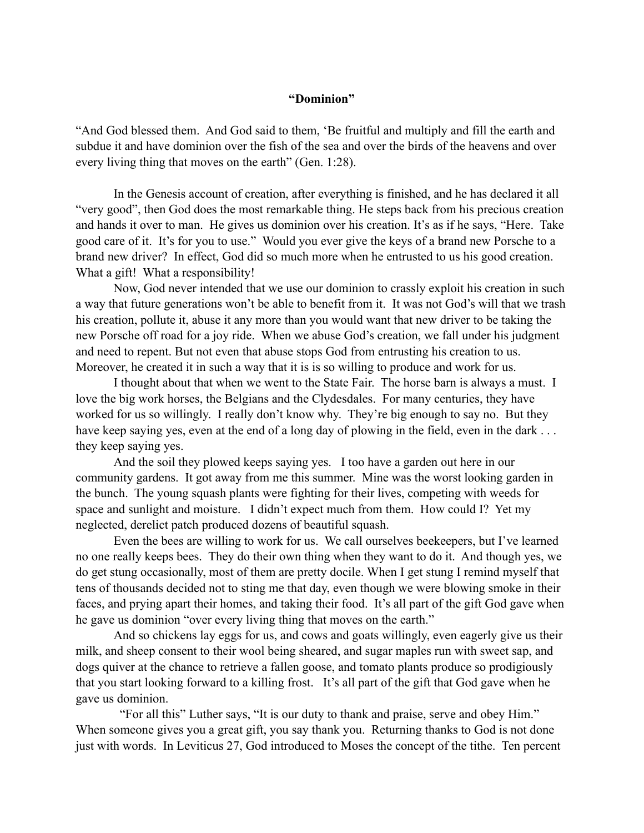## **"Dominion"**

"And God blessed them. And God said to them, 'Be fruitful and multiply and fill the earth and subdue it and have dominion over the fish of the sea and over the birds of the heavens and over every living thing that moves on the earth" (Gen. 1:28).

In the Genesis account of creation, after everything is finished, and he has declared it all "very good", then God does the most remarkable thing. He steps back from his precious creation and hands it over to man. He gives us dominion over his creation. It's as if he says, "Here. Take good care of it. It's for you to use." Would you ever give the keys of a brand new Porsche to a brand new driver? In effect, God did so much more when he entrusted to us his good creation. What a gift! What a responsibility!

Now, God never intended that we use our dominion to crassly exploit his creation in such a way that future generations won't be able to benefit from it. It was not God's will that we trash his creation, pollute it, abuse it any more than you would want that new driver to be taking the new Porsche off road for a joy ride. When we abuse God's creation, we fall under his judgment and need to repent. But not even that abuse stops God from entrusting his creation to us. Moreover, he created it in such a way that it is is so willing to produce and work for us.

I thought about that when we went to the State Fair. The horse barn is always a must. I love the big work horses, the Belgians and the Clydesdales. For many centuries, they have worked for us so willingly. I really don't know why. They're big enough to say no. But they have keep saying yes, even at the end of a long day of plowing in the field, even in the dark ... they keep saying yes.

And the soil they plowed keeps saying yes. I too have a garden out here in our community gardens. It got away from me this summer. Mine was the worst looking garden in the bunch. The young squash plants were fighting for their lives, competing with weeds for space and sunlight and moisture. I didn't expect much from them. How could I? Yet my neglected, derelict patch produced dozens of beautiful squash.

Even the bees are willing to work for us. We call ourselves beekeepers, but I've learned no one really keeps bees. They do their own thing when they want to do it. And though yes, we do get stung occasionally, most of them are pretty docile. When I get stung I remind myself that tens of thousands decided not to sting me that day, even though we were blowing smoke in their faces, and prying apart their homes, and taking their food. It's all part of the gift God gave when he gave us dominion "over every living thing that moves on the earth."

And so chickens lay eggs for us, and cows and goats willingly, even eagerly give us their milk, and sheep consent to their wool being sheared, and sugar maples run with sweet sap, and dogs quiver at the chance to retrieve a fallen goose, and tomato plants produce so prodigiously that you start looking forward to a killing frost. It's all part of the gift that God gave when he gave us dominion.

 "For all this" Luther says, "It is our duty to thank and praise, serve and obey Him." When someone gives you a great gift, you say thank you. Returning thanks to God is not done just with words. In Leviticus 27, God introduced to Moses the concept of the tithe. Ten percent